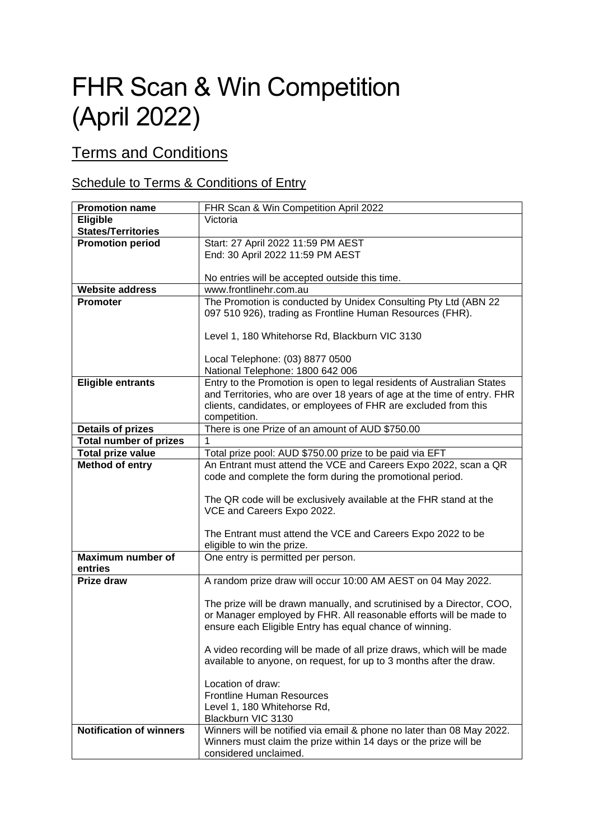## FHR Scan & Win Competition (April 2022)

## Terms and Conditions

## Schedule to Terms & Conditions of Entry

| <b>Promotion name</b>          | FHR Scan & Win Competition April 2022                                   |
|--------------------------------|-------------------------------------------------------------------------|
| Eligible                       | Victoria                                                                |
| <b>States/Territories</b>      |                                                                         |
| <b>Promotion period</b>        | Start: 27 April 2022 11:59 PM AEST                                      |
|                                | End: 30 April 2022 11:59 PM AEST                                        |
|                                |                                                                         |
|                                | No entries will be accepted outside this time.                          |
| <b>Website address</b>         | www.frontlinehr.com.au                                                  |
| <b>Promoter</b>                | The Promotion is conducted by Unidex Consulting Pty Ltd (ABN 22         |
|                                | 097 510 926), trading as Frontline Human Resources (FHR).               |
|                                | Level 1, 180 Whitehorse Rd, Blackburn VIC 3130                          |
|                                |                                                                         |
|                                | Local Telephone: (03) 8877 0500                                         |
|                                | National Telephone: 1800 642 006                                        |
| <b>Eligible entrants</b>       | Entry to the Promotion is open to legal residents of Australian States  |
|                                | and Territories, who are over 18 years of age at the time of entry. FHR |
|                                | clients, candidates, or employees of FHR are excluded from this         |
|                                | competition.                                                            |
| <b>Details of prizes</b>       | There is one Prize of an amount of AUD \$750.00                         |
| <b>Total number of prizes</b>  | 1                                                                       |
| <b>Total prize value</b>       | Total prize pool: AUD \$750.00 prize to be paid via EFT                 |
| <b>Method of entry</b>         | An Entrant must attend the VCE and Careers Expo 2022, scan a QR         |
|                                | code and complete the form during the promotional period.               |
|                                |                                                                         |
|                                | The QR code will be exclusively available at the FHR stand at the       |
|                                | VCE and Careers Expo 2022.                                              |
|                                | The Entrant must attend the VCE and Careers Expo 2022 to be             |
|                                | eligible to win the prize.                                              |
| <b>Maximum number of</b>       | One entry is permitted per person.                                      |
| entries                        |                                                                         |
| Prize draw                     | A random prize draw will occur 10:00 AM AEST on 04 May 2022.            |
|                                |                                                                         |
|                                | The prize will be drawn manually, and scrutinised by a Director, COO,   |
|                                | or Manager employed by FHR. All reasonable efforts will be made to      |
|                                | ensure each Eligible Entry has equal chance of winning.                 |
|                                |                                                                         |
|                                | A video recording will be made of all prize draws, which will be made   |
|                                | available to anyone, on request, for up to 3 months after the draw.     |
|                                | Location of draw:                                                       |
|                                | <b>Frontline Human Resources</b>                                        |
|                                | Level 1, 180 Whitehorse Rd,                                             |
|                                | Blackburn VIC 3130                                                      |
| <b>Notification of winners</b> | Winners will be notified via email & phone no later than 08 May 2022.   |
|                                | Winners must claim the prize within 14 days or the prize will be        |
|                                | considered unclaimed.                                                   |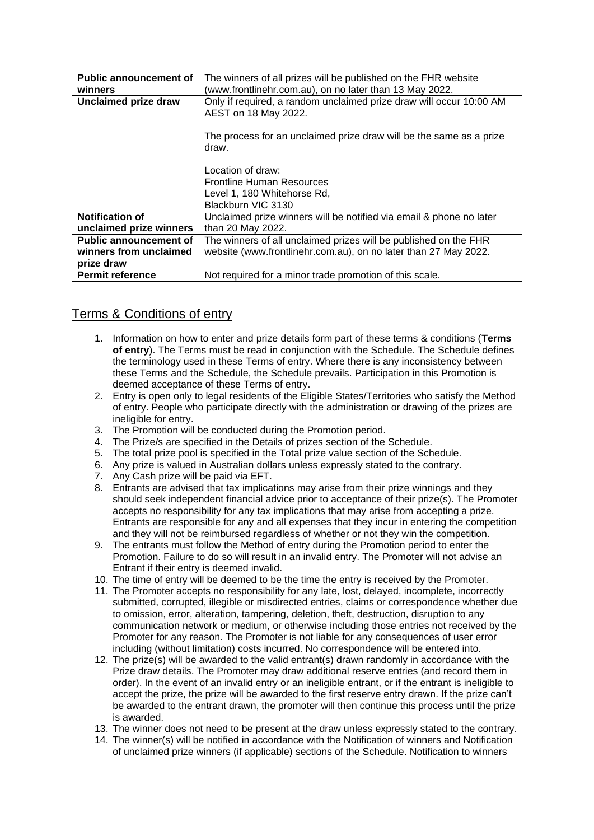| <b>Public announcement of</b> | The winners of all prizes will be published on the FHR website      |
|-------------------------------|---------------------------------------------------------------------|
| winners                       | (www.frontlinehr.com.au), on no later than 13 May 2022.             |
| <b>Unclaimed prize draw</b>   | Only if required, a random unclaimed prize draw will occur 10:00 AM |
|                               | AEST on 18 May 2022.                                                |
|                               |                                                                     |
|                               |                                                                     |
|                               | The process for an unclaimed prize draw will be the same as a prize |
|                               | draw.                                                               |
|                               |                                                                     |
|                               | Location of draw:                                                   |
|                               |                                                                     |
|                               | <b>Frontline Human Resources</b>                                    |
|                               | Level 1, 180 Whitehorse Rd,                                         |
|                               | Blackburn VIC 3130                                                  |
| <b>Notification of</b>        | Unclaimed prize winners will be notified via email & phone no later |
|                               |                                                                     |
| unclaimed prize winners       | than 20 May 2022.                                                   |
| <b>Public announcement of</b> | The winners of all unclaimed prizes will be published on the FHR    |
| winners from unclaimed        | website (www.frontlinehr.com.au), on no later than 27 May 2022.     |
| prize draw                    |                                                                     |
| <b>Permit reference</b>       | Not required for a minor trade promotion of this scale.             |
|                               |                                                                     |

## Terms & Conditions of entry

- 1. Information on how to enter and prize details form part of these terms & conditions (**Terms of entry**). The Terms must be read in conjunction with the Schedule. The Schedule defines the terminology used in these Terms of entry. Where there is any inconsistency between these Terms and the Schedule, the Schedule prevails. Participation in this Promotion is deemed acceptance of these Terms of entry.
- 2. Entry is open only to legal residents of the Eligible States/Territories who satisfy the Method of entry. People who participate directly with the administration or drawing of the prizes are ineligible for entry.
- 3. The Promotion will be conducted during the Promotion period.
- 4. The Prize/s are specified in the Details of prizes section of the Schedule.
- 5. The total prize pool is specified in the Total prize value section of the Schedule.
- 6. Any prize is valued in Australian dollars unless expressly stated to the contrary.
- 7. Any Cash prize will be paid via EFT.
- 8. Entrants are advised that tax implications may arise from their prize winnings and they should seek independent financial advice prior to acceptance of their prize(s). The Promoter accepts no responsibility for any tax implications that may arise from accepting a prize. Entrants are responsible for any and all expenses that they incur in entering the competition and they will not be reimbursed regardless of whether or not they win the competition.
- 9. The entrants must follow the Method of entry during the Promotion period to enter the Promotion. Failure to do so will result in an invalid entry. The Promoter will not advise an Entrant if their entry is deemed invalid.
- 10. The time of entry will be deemed to be the time the entry is received by the Promoter.
- 11. The Promoter accepts no responsibility for any late, lost, delayed, incomplete, incorrectly submitted, corrupted, illegible or misdirected entries, claims or correspondence whether due to omission, error, alteration, tampering, deletion, theft, destruction, disruption to any communication network or medium, or otherwise including those entries not received by the Promoter for any reason. The Promoter is not liable for any consequences of user error including (without limitation) costs incurred. No correspondence will be entered into.
- 12. The prize(s) will be awarded to the valid entrant(s) drawn randomly in accordance with the Prize draw details. The Promoter may draw additional reserve entries (and record them in order). In the event of an invalid entry or an ineligible entrant, or if the entrant is ineligible to accept the prize, the prize will be awarded to the first reserve entry drawn. If the prize can't be awarded to the entrant drawn, the promoter will then continue this process until the prize is awarded.
- 13. The winner does not need to be present at the draw unless expressly stated to the contrary.
- 14. The winner(s) will be notified in accordance with the Notification of winners and Notification of unclaimed prize winners (if applicable) sections of the Schedule. Notification to winners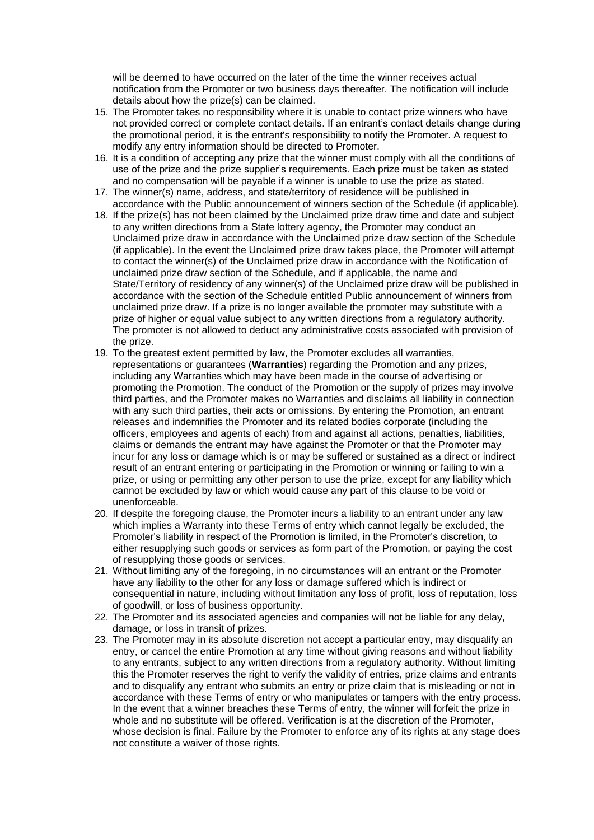will be deemed to have occurred on the later of the time the winner receives actual notification from the Promoter or two business days thereafter. The notification will include details about how the prize(s) can be claimed.

- 15. The Promoter takes no responsibility where it is unable to contact prize winners who have not provided correct or complete contact details. If an entrant's contact details change during the promotional period, it is the entrant's responsibility to notify the Promoter. A request to modify any entry information should be directed to Promoter.
- 16. It is a condition of accepting any prize that the winner must comply with all the conditions of use of the prize and the prize supplier's requirements. Each prize must be taken as stated and no compensation will be payable if a winner is unable to use the prize as stated.
- 17. The winner(s) name, address, and state/territory of residence will be published in accordance with the Public announcement of winners section of the Schedule (if applicable).
- 18. If the prize(s) has not been claimed by the Unclaimed prize draw time and date and subject to any written directions from a State lottery agency, the Promoter may conduct an Unclaimed prize draw in accordance with the Unclaimed prize draw section of the Schedule (if applicable). In the event the Unclaimed prize draw takes place, the Promoter will attempt to contact the winner(s) of the Unclaimed prize draw in accordance with the Notification of unclaimed prize draw section of the Schedule, and if applicable, the name and State/Territory of residency of any winner(s) of the Unclaimed prize draw will be published in accordance with the section of the Schedule entitled Public announcement of winners from unclaimed prize draw. If a prize is no longer available the promoter may substitute with a prize of higher or equal value subject to any written directions from a regulatory authority. The promoter is not allowed to deduct any administrative costs associated with provision of the prize.
- 19. To the greatest extent permitted by law, the Promoter excludes all warranties, representations or guarantees (**Warranties**) regarding the Promotion and any prizes, including any Warranties which may have been made in the course of advertising or promoting the Promotion. The conduct of the Promotion or the supply of prizes may involve third parties, and the Promoter makes no Warranties and disclaims all liability in connection with any such third parties, their acts or omissions. By entering the Promotion, an entrant releases and indemnifies the Promoter and its related bodies corporate (including the officers, employees and agents of each) from and against all actions, penalties, liabilities, claims or demands the entrant may have against the Promoter or that the Promoter may incur for any loss or damage which is or may be suffered or sustained as a direct or indirect result of an entrant entering or participating in the Promotion or winning or failing to win a prize, or using or permitting any other person to use the prize, except for any liability which cannot be excluded by law or which would cause any part of this clause to be void or unenforceable.
- 20. If despite the foregoing clause, the Promoter incurs a liability to an entrant under any law which implies a Warranty into these Terms of entry which cannot legally be excluded, the Promoter's liability in respect of the Promotion is limited, in the Promoter's discretion, to either resupplying such goods or services as form part of the Promotion, or paying the cost of resupplying those goods or services.
- 21. Without limiting any of the foregoing, in no circumstances will an entrant or the Promoter have any liability to the other for any loss or damage suffered which is indirect or consequential in nature, including without limitation any loss of profit, loss of reputation, loss of goodwill, or loss of business opportunity.
- 22. The Promoter and its associated agencies and companies will not be liable for any delay, damage, or loss in transit of prizes.
- 23. The Promoter may in its absolute discretion not accept a particular entry, may disqualify an entry, or cancel the entire Promotion at any time without giving reasons and without liability to any entrants, subject to any written directions from a regulatory authority. Without limiting this the Promoter reserves the right to verify the validity of entries, prize claims and entrants and to disqualify any entrant who submits an entry or prize claim that is misleading or not in accordance with these Terms of entry or who manipulates or tampers with the entry process. In the event that a winner breaches these Terms of entry, the winner will forfeit the prize in whole and no substitute will be offered. Verification is at the discretion of the Promoter, whose decision is final. Failure by the Promoter to enforce any of its rights at any stage does not constitute a waiver of those rights.